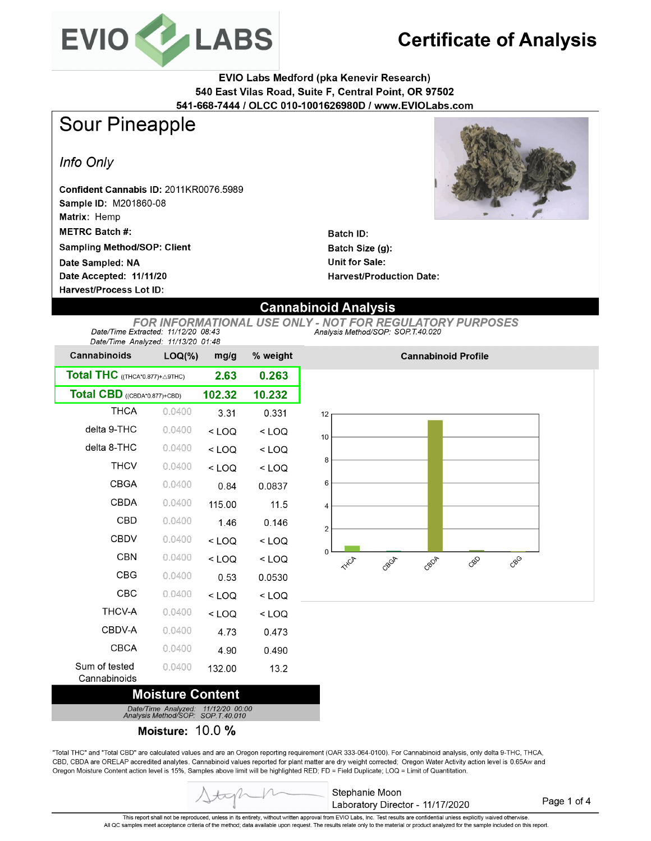

# **Certificate of Analysis**

**EVIO Labs Medford (pka Kenevir Research)** 540 East Vilas Road, Suite F, Central Point, OR 97502 541-668-7444 / OLCC 010-1001626980D / www.EVIOLabs.com

**Sour Pineapple** 

**Harvest/Process Lot ID:** 

Info Only

Confident Cannabis ID: 2011KR0076.5989 Sample ID: M201860-08 Matrix: Hemp **METRC Batch#: Sampling Method/SOP: Client** Date Sampled: NA Date Accepted: 11/11/20



**Batch ID:** Batch Size (g): **Unit for Sale: Harvest/Production Date:** 

### **Cannabinoid Analysis**

**FOR INFORMATIONAL USE ONLY - NOT FOR REGULATORY PURPOSES** Date/Time Extracted: 11/12/20 08:43 Analysis Method/SOP. SOP T.40.020 Date/Time Analyzed:  $11/13/20$  01:48

| $3400/1000/1000/200$ . $10/10/200/01.70$<br><b>Cannabinoids</b> | $LOQ(\%)$ | mg/g    | % weight |
|-----------------------------------------------------------------|-----------|---------|----------|
| Total THC ((THCA*0.877)+ A9THC)                                 |           | 2.63    | 0.263    |
| Total CBD ((CBDA*0.877)+CBD)                                    |           | 102.32  | 10.232   |
| <b>THCA</b>                                                     | 0.0400    | 3.31    | 0.331    |
| delta 9-THC                                                     | 0.0400    | $<$ LOQ | $<$ LOQ  |
| delta 8-THC                                                     | 0.0400    | $<$ LOQ | $<$ LOQ  |
| <b>THCV</b>                                                     | 0.0400    | $<$ LOQ | $<$ LOQ  |
| CBGA                                                            | 0.0400    | 0.84    | 0.0837   |
| CBDA                                                            | 0.0400    | 115.00  | 11.5     |
| <b>CBD</b>                                                      | 0.0400    | 1.46    | 0.146    |
| <b>CBDV</b>                                                     | 0.0400    | < LOQ   | $<$ LOQ  |
| <b>CBN</b>                                                      | 0.0400    | $<$ LOQ | $<$ LOQ  |
| <b>CBG</b>                                                      | 0.0400    | 0.53    | 0.0530   |
| CBC                                                             | 0.0400    | < LOQ   | $<$ LOQ  |
| <b>THCV-A</b>                                                   | 0.0400    | $<$ LOQ | $<$ LOQ  |
| CBDV-A                                                          | 0.0400    | 4.73    | 0.473    |
| CBCA                                                            | 0.0400    | 4.90    | 0.490    |
| Sum of tested<br>Cannabinoids                                   | 0.0400    | 132.00  | 13.2     |

### **Moisture Content**

Date/Time Analyzed:<br>Analysis Method/SOP: 11/12/20 00:00<br>SOP.T.40.010

Moisture: 10.0 %

"Total THC" and "Total CBD" are calculated values and are an Oregon reporting requirement (OAR 333-064-0100). For Cannabinoid analysis, only delta 9-THC, THCA, CBD, CBDA are ORELAP accredited analytes. Cannabinoid values reported for plant matter are dry weight corrected; Oregon Water Activity action level is 0.65Aw and Oregon Moisture Content action level is 15%, Samples above limit will be highlighted RED; FD = Field Duplicate; LOQ = Limit of Quantitation.



Page 1 of 4

This report shall not be reproduced, unless in its entirety, without written approval from EVIO Labs, Inc. Test results are confidential unless explicitly waived otherwise. All QC samples meet acceptance criteria of the method; data available upon request. The results relate only to the material or product analyzed for the sample included on this report.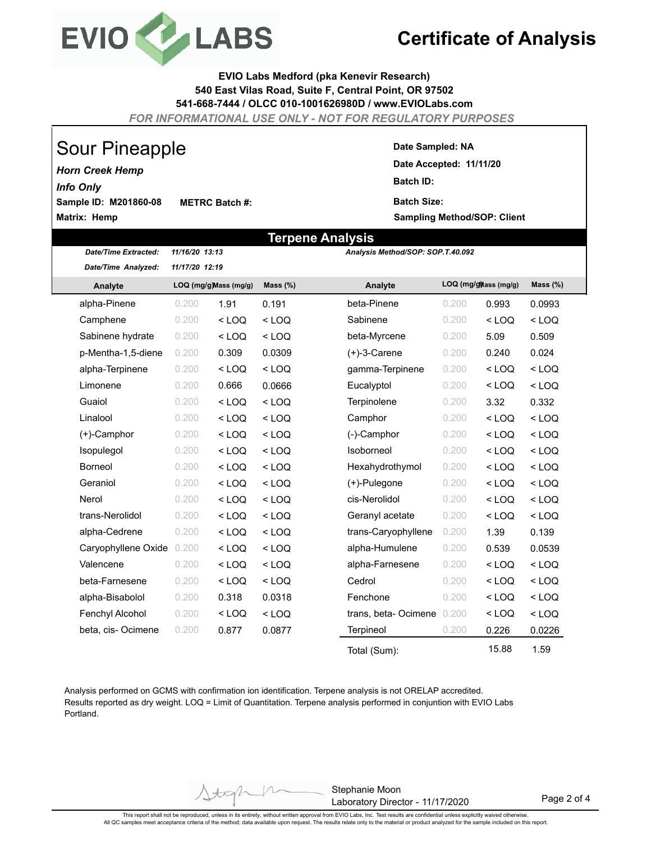

## **Certificate of Analysis**

**EVIO Labs Medford (pka Kenevir Research) 540 East Vilas Road, Suite F, Central Point, OR 97502 541-668-7444 / OLCC 010-1001626980D / www.EVIOLabs.com**

*FOR INFORMATIONAL USE ONLY - NOT FOR REGULATORY PURPOSES*

# Sour Pineapple

**Matrix: Hemp Sample ID: M201860-08** *Horn Creek Hemp* **METRC Batch #:**  *Info Only*

*Date/Time Extracted: 11/16/20 13:13*

#### **Date Sampled: NA**

**Date Accepted: 11/11/20 Batch ID: Batch Size:** 

**Sampling Method/SOP: Client**

### **Terpene Analysis**

*Analysis Method/SOP: SOP.T.40.092*

| Date/Time Analyzed: | 11/17/20 12:19 |                        |             |                     |                       |         |             |
|---------------------|----------------|------------------------|-------------|---------------------|-----------------------|---------|-------------|
| Analyte             |                | LOQ (mg/g) Mass (mg/g) | Mass $(\%)$ | Analyte             | LOQ (mg/g) ass (mg/g) |         | Mass $(\%)$ |
| alpha-Pinene        | 0.200          | 1.91                   | 0.191       | beta-Pinene         | 0.200                 | 0.993   | 0.0993      |
| Camphene            | 0.200          | $<$ LOQ                | $<$ LOQ     | Sabinene            | 0.200                 | $<$ LOQ | $<$ LOQ     |
| Sabinene hydrate    | 0.200          | $<$ LOQ                | $<$ LOQ     | beta-Myrcene        | 0.200                 | 5.09    | 0.509       |
| p-Mentha-1,5-diene  | 0.200          | 0.309                  | 0.0309      | $(+)$ -3-Carene     | 0.200                 | 0.240   | 0.024       |
| alpha-Terpinene     | 0.200          | $<$ LOQ                | $<$ LOQ     | gamma-Terpinene     | 0.200                 | $<$ LOQ | $<$ LOQ     |
| Limonene            | 0.200          | 0.666                  | 0.0666      | Eucalyptol          | 0.200                 | $<$ LOQ | $<$ LOQ     |
| Guaiol              | 0.200          | $<$ LOQ                | $<$ LOQ     | <b>Terpinolene</b>  | 0.200                 | 3.32    | 0.332       |
| Linalool            | 0.200          | $<$ LOQ                | $<$ LOQ     | Camphor             | 0.200                 | $<$ LOQ | $<$ LOQ     |
| $(+)$ -Camphor      | 0.200          | $<$ LOQ                | $<$ LOQ     | (-)-Camphor         | 0.200                 | $<$ LOQ | $<$ LOQ     |
| Isopulegol          | 0.200          | $<$ LOQ                | $<$ LOQ     | Isoborneol          | 0.200                 | $<$ LOQ | $<$ LOQ     |
| <b>Borneol</b>      | 0.200          | $<$ LOQ                | $<$ LOQ     | Hexahydrothymol     | 0.200                 | $<$ LOQ | $<$ LOQ     |
| Geraniol            | 0.200          | $<$ LOQ                | $<$ LOQ     | (+)-Pulegone        | 0.200                 | $<$ LOQ | $<$ LOQ     |
| Nerol               | 0.200          | $<$ LOQ                | $<$ LOQ     | cis-Nerolidol       | 0.200                 | $<$ LOQ | $<$ LOQ     |
| trans-Nerolidol     | 0.200          | $<$ LOQ                | $<$ LOQ     | Geranyl acetate     | 0.200                 | $<$ LOQ | $<$ LOQ     |
| alpha-Cedrene       | 0.200          | $<$ LOQ                | $<$ LOQ     | trans-Caryophyllene | 0.200                 | 1.39    | 0.139       |
| Caryophyllene Oxide | 0.200          | $<$ LOQ                | $<$ LOQ     | alpha-Humulene      | 0.200                 | 0.539   | 0.0539      |
| Valencene           | 0.200          | $<$ LOQ                | $<$ LOQ     | alpha-Farnesene     | 0.200                 | $<$ LOQ | $<$ LOQ     |
| beta-Farnesene      | 0.200          | $<$ LOQ                | $<$ LOQ     | Cedrol              | 0.200                 | $<$ LOQ | $<$ LOQ     |
| alpha-Bisabolol     | 0.200          | 0.318                  | 0.0318      | Fenchone            | 0.200                 | $<$ LOQ | $<$ LOQ     |
| Fenchyl Alcohol     | 0.200          | $<$ LOQ                | $<$ LOQ     | trans, beta-Ocimene | 0.200                 | $<$ LOQ | $<$ LOQ     |
| beta, cis-Ocimene   | 0.200          | 0.877                  | 0.0877      | Terpineol           | 0.200                 | 0.226   | 0.0226      |
|                     |                |                        |             | Total (Sum):        |                       | 15.88   | 1.59        |

Analysis performed on GCMS with confirmation ion identification. Terpene analysis is not ORELAP accredited. Results reported as dry weight. LOQ = Limit of Quantitation. Terpene analysis performed in conjuntion with EVIO Labs Portland.

> Stephanie Moon Laboratory Director - 11/17/2020

Page 2 of 4

This report shall not be reproduced, unless in its entirety, without written approval from EVIO Labs, Inc. Test results are confidential unless explicitly waived otherwise.<br>All QC samples meet acceptance criteria of the me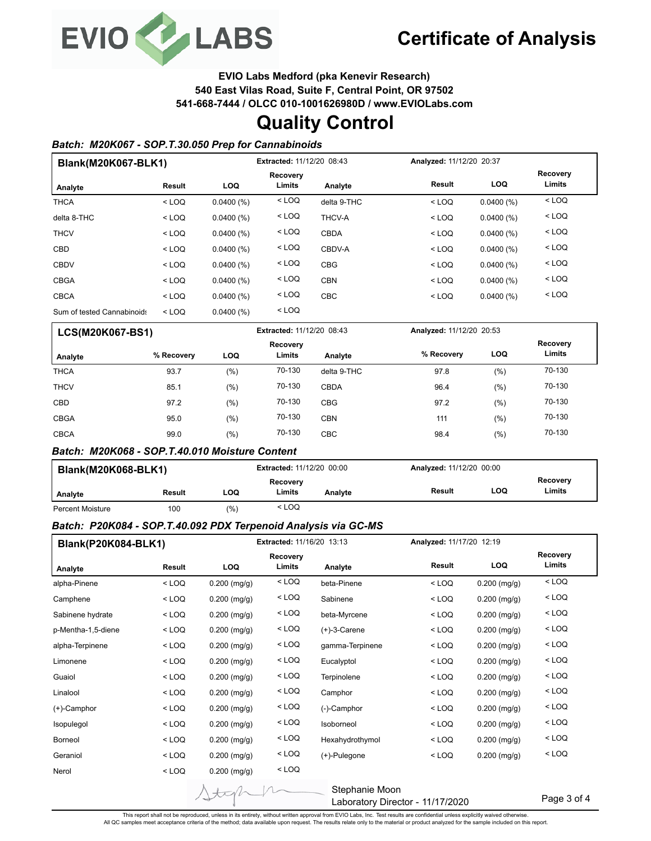

**EVIO Labs Medford (pka Kenevir Research)**

**540 East Vilas Road, Suite F, Central Point, OR 97502**

**541-668-7444 / OLCC 010-1001626980D / www.EVIOLabs.com**

# **Quality Control**

#### *Batch: M20K067 - SOP.T.30.050 Prep for Cannabinoids*

| Blank(M20K067-BLK1)        |         |            | Extracted: 11/12/20 08:43 |             |         | Analyzed: 11/12/20 20:37 |                    |  |
|----------------------------|---------|------------|---------------------------|-------------|---------|--------------------------|--------------------|--|
|                            |         |            | Recovery<br>Limits        |             | Result  | <b>LOQ</b>               | Recovery<br>Limits |  |
| Analyte                    | Result  | <b>LOQ</b> |                           | Analyte     |         |                          |                    |  |
| <b>THCA</b>                | $<$ LOQ | 0.0400(%)  | $<$ LOQ                   | delta 9-THC | $<$ LOQ | 0.0400(%)                | $<$ LOQ            |  |
| delta 8-THC                | $<$ LOQ | 0.0400(%)  | $<$ LOQ                   | THCV-A      | $<$ LOQ | 0.0400(%)                | $<$ LOQ            |  |
| <b>THCV</b>                | $<$ LOQ | 0.0400(%)  | $<$ LOQ                   | <b>CBDA</b> | $<$ LOQ | 0.0400(%)                | $<$ LOQ            |  |
| <b>CBD</b>                 | $<$ LOQ | 0.0400(%)  | $<$ LOQ                   | CBDV-A      | $<$ LOQ | 0.0400(%)                | $<$ LOQ            |  |
| <b>CBDV</b>                | $<$ LOQ | 0.0400(%)  | $<$ LOQ                   | <b>CBG</b>  | $<$ LOQ | 0.0400(%)                | $<$ LOQ            |  |
| <b>CBGA</b>                | $<$ LOQ | 0.0400(%)  | $<$ LOQ                   | <b>CBN</b>  | $<$ LOQ | 0.0400(%)                | $<$ LOQ            |  |
| <b>CBCA</b>                | $<$ LOQ | 0.0400(%)  | $<$ LOQ                   | <b>CBC</b>  | $<$ LOQ | 0.0400(%)                | $<$ LOQ            |  |
| Sum of tested Cannabinoids | $<$ LOQ | 0.0400(%)  | $<$ LOQ                   |             |         |                          |                    |  |

| <b>LCS(M20K067-BS1)</b> |            |      | <b>Extracted: 11/12/20 08:43</b> |             | Analyzed: 11/12/20 20:53 |            |                    |
|-------------------------|------------|------|----------------------------------|-------------|--------------------------|------------|--------------------|
| Analyte                 | % Recovery | LOQ  | Recovery<br>Limits               | Analyte     | % Recovery               | <b>LOQ</b> | Recovery<br>Limits |
| <b>THCA</b>             | 93.7       | (% ) | 70-130                           | delta 9-THC | 97.8                     | (%)        | 70-130             |
| <b>THCV</b>             | 85.1       | (% ) | 70-130                           | <b>CBDA</b> | 96.4                     | (%)        | 70-130             |
| <b>CBD</b>              | 97.2       | (% ) | 70-130                           | <b>CBG</b>  | 97.2                     | (% )       | 70-130             |
| <b>CBGA</b>             | 95.0       | (% ) | 70-130                           | <b>CBN</b>  | 111                      | (% )       | 70-130             |
| <b>CBCA</b>             | 99.0       | (% ) | 70-130                           | CBC         | 98.4                     | (%)        | 70-130             |

#### *Batch: M20K068 - SOP.T.40.010 Moisture Content*

| <b>Blank(M20K068-BLK1)</b> |        |       | <b>Extracted: 11/12/20 00:00</b> |         | Analyzed: 11/12/20 00:00 |     |                    |
|----------------------------|--------|-------|----------------------------------|---------|--------------------------|-----|--------------------|
| Analyte                    | Result | LOQ   | Recovery<br>Limits               | Analyte | Result                   | LOQ | Recovery<br>Limits |
| <b>Percent Moisture</b>    | 100    | (0/0) | $<$ LOQ                          |         |                          |     |                    |

#### *Batch: P20K084 - SOP.T.40.092 PDX Terpenoid Analysis via GC-MS*

| Blank(P20K084-BLK1) |         |                | Extracted: 11/16/20 13:13 |                 |                                                  | Analyzed: 11/17/20 12:19 |                           |
|---------------------|---------|----------------|---------------------------|-----------------|--------------------------------------------------|--------------------------|---------------------------|
| Analyte             | Result  | <b>LOQ</b>     | <b>Recovery</b><br>Limits | Analyte         | <b>Result</b>                                    | <b>LOQ</b>               | <b>Recovery</b><br>Limits |
| alpha-Pinene        | $<$ LOQ | $0.200$ (mg/g) | $<$ LOQ                   | beta-Pinene     | $<$ LOQ                                          | $0.200$ (mg/g)           | $<$ LOQ                   |
| Camphene            | $<$ LOQ | $0.200$ (mg/g) | $<$ LOQ                   | Sabinene        | $<$ LOQ                                          | $0.200$ (mg/g)           | $<$ LOQ                   |
| Sabinene hydrate    | $<$ LOQ | $0.200$ (mg/g) | $<$ LOQ                   | beta-Myrcene    | $<$ LOQ                                          | $0.200$ (mg/g)           | $<$ LOQ                   |
| p-Mentha-1,5-diene  | $<$ LOQ | $0.200$ (mg/g) | $<$ LOQ                   | $(+)$ -3-Carene | $<$ LOQ                                          | $0.200$ (mg/g)           | $<$ LOQ                   |
| alpha-Terpinene     | $<$ LOQ | $0.200$ (mg/g) | $<$ LOQ                   | gamma-Terpinene | $<$ LOQ                                          | $0.200$ (mg/g)           | $<$ LOQ                   |
| Limonene            | $<$ LOQ | $0.200$ (mg/g) | $<$ LOQ                   | Eucalyptol      | $<$ LOQ                                          | $0.200$ (mg/g)           | $<$ LOQ                   |
| Guaiol              | $<$ LOQ | $0.200$ (mg/g) | $<$ LOQ                   | Terpinolene     | $<$ LOQ                                          | $0.200$ (mg/g)           | $<$ LOQ                   |
| Linalool            | $<$ LOQ | $0.200$ (mg/g) | $<$ LOQ                   | Camphor         | $<$ LOQ                                          | $0.200$ (mg/g)           | $<$ LOQ                   |
| $(+)$ -Camphor      | $<$ LOQ | $0.200$ (mg/g) | $<$ LOQ                   | (-)-Camphor     | $<$ LOQ                                          | $0.200$ (mg/g)           | $<$ LOQ                   |
| Isopulegol          | $<$ LOQ | $0.200$ (mg/g) | $<$ LOQ                   | Isoborneol      | $<$ LOQ                                          | $0.200$ (mg/g)           | $<$ LOQ                   |
| Borneol             | $<$ LOQ | $0.200$ (mg/g) | $<$ LOQ                   | Hexahydrothymol | $<$ LOQ                                          | $0.200$ (mg/g)           | $<$ LOQ                   |
| Geraniol            | $<$ LOQ | $0.200$ (mg/g) | $<$ LOQ                   | (+)-Pulegone    | $<$ LOQ                                          | $0.200$ (mg/g)           | $<$ LOQ                   |
| Nerol               | $<$ LOQ | $0.200$ (mg/g) | $<$ LOQ                   |                 |                                                  |                          |                           |
|                     |         | tak            |                           | Stephanie Moon  | Loberator $\Gamma$ Director $\Lambda$ 14/47/0000 |                          | Page 3 of 4               |

Laboratory Director - 11/17/2020

Page 3 of 4

This report shall not be reproduced, unless in its entirety, without written approval from EVIO Labs, Inc. Test results are confidential unless explicitly waived otherwise.<br>All QC samples meet acceptance criteria of the me